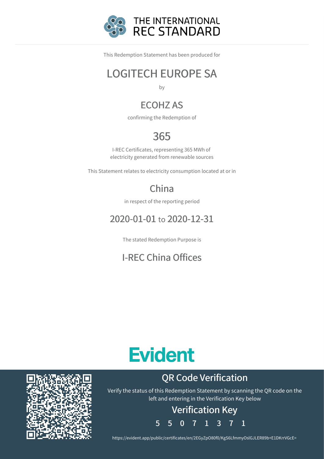

This Redemption Statement has been produced for

### LOGITECH EUROPE SA

by

### ECOHZ AS

confirming the Redemption of

### 365

I-REC Certificates, representing 365 MWh of electricity generated from renewable sources

This Statement relates to electricity consumption located at or in

### China

in respect of the reporting period

### 2020-01-01 to 2020-12-31

The stated Redemption Purpose is

### I-REC China Offices

# **Evident**

### QR Code Verification

Verify the status of this Redemption Statement by scanning the QR code on the left and entering in the Verification Key below

## Verification Key

5 5 0 7 1 3 7 1

https://evident.app/public/certificates/en/2EGyZpO80f0/KgS6LfmmyOslGJLER89b+E1DKrrVGcE=